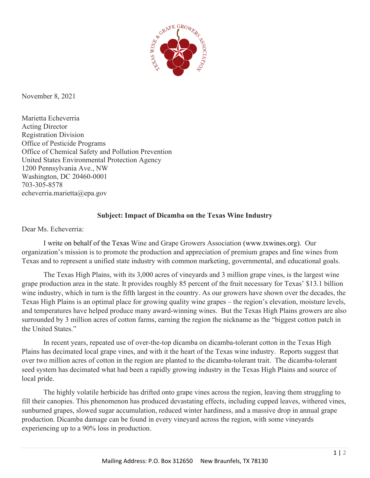

November 8, 2021

Marietta Echeverria Acting Director Registration Division Office of Pesticide Programs Office of Chemical Safety and Pollution Prevention United States Environmental Protection Agency 1200 Pennsylvania Ave., NW Washington, DC 20460-0001 703-305-8578 echeverria.marietta@epa.gov

## **Subject: Impact of Dicamba on the Texas Wine Industry**

Dear Ms. Echeverria:

I write on behalf of the Texas Wine and Grape Growers Association [\(www.txwines.org\)](http://www.txwines.org/). Our organization's mission is to promote the production and appreciation of premium grapes and fine wines from Texas and to represent a unified state industry with common marketing, governmental, and educational goals.

The Texas High Plains, with its 3,000 acres of vineyards and 3 million grape vines, is the largest wine grape production area in the state. It provides roughly 85 percent of the fruit necessary for Texas' \$13.1 billion wine industry, which in turn is the fifth largest in the country. As our growers have shown over the decades, the Texas High Plains is an optimal place for growing quality wine grapes – the region's elevation, moisture levels, and temperatures have helped produce many award-winning wines. But the Texas High Plains growers are also surrounded by 3 million acres of cotton farms, earning the region the nickname as the "biggest cotton patch in the United States."

In recent years, repeated use of over-the-top dicamba on dicamba-tolerant cotton in the Texas High Plains has decimated local grape vines, and with it the heart of the Texas wine industry. Reports suggest that over two million acres of cotton in the region are planted to the dicamba-tolerant trait. The dicamba-tolerant seed system has decimated what had been a rapidly growing industry in the Texas High Plains and source of local pride.

The highly volatile herbicide has drifted onto grape vines across the region, leaving them struggling to fill their canopies. This phenomenon has produced devastating effects, including cupped leaves, withered vines, sunburned grapes, slowed sugar accumulation, reduced winter hardiness, and a massive drop in annual grape production. Dicamba damage can be found in every vineyard across the region, with some vineyards experiencing up to a 90% loss in production.